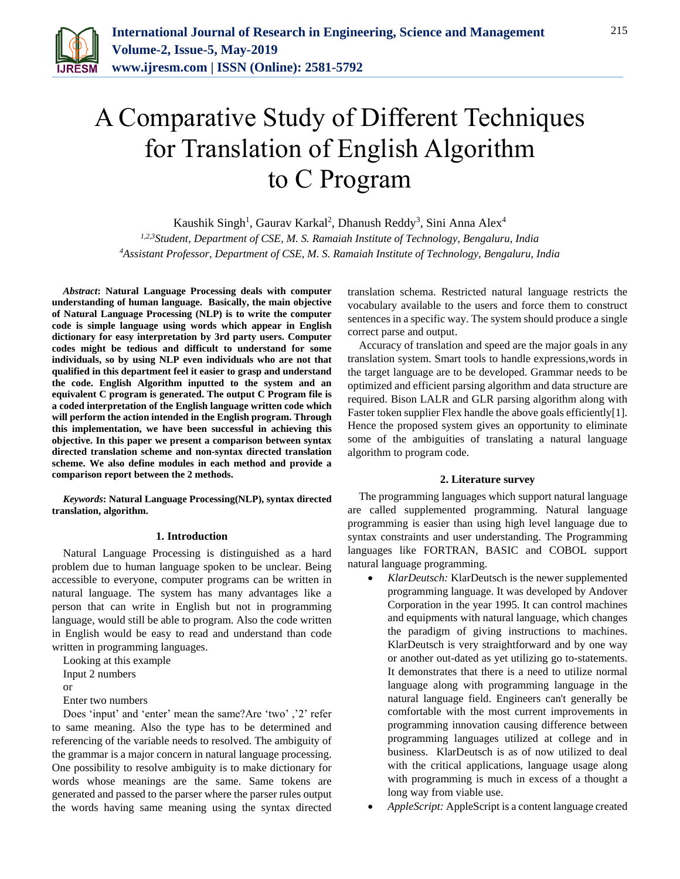

# A Comparative Study of Different Techniques for Translation of English Algorithm to C Program

Kaushik Singh<sup>1</sup>, Gaurav Karkal<sup>2</sup>, Dhanush Reddy<sup>3</sup>, Sini Anna Alex<sup>4</sup>

*1,2,3Student, Department of CSE, M. S. Ramaiah Institute of Technology, Bengaluru, India 4Assistant Professor, Department of CSE, M. S. Ramaiah Institute of Technology, Bengaluru, India*

*Abstract***: Natural Language Processing deals with computer understanding of human language. Basically, the main objective of Natural Language Processing (NLP) is to write the computer code is simple language using words which appear in English dictionary for easy interpretation by 3rd party users. Computer codes might be tedious and difficult to understand for some individuals, so by using NLP even individuals who are not that qualified in this department feel it easier to grasp and understand the code. English Algorithm inputted to the system and an equivalent C program is generated. The output C Program file is a coded interpretation of the English language written code which will perform the action intended in the English program. Through this implementation, we have been successful in achieving this objective. In this paper we present a comparison between syntax directed translation scheme and non-syntax directed translation scheme. We also define modules in each method and provide a comparison report between the 2 methods.**

*Keywords***: Natural Language Processing(NLP), syntax directed translation, algorithm.**

#### **1. Introduction**

Natural Language Processing is distinguished as a hard problem due to human language spoken to be unclear. Being accessible to everyone, computer programs can be written in natural language. The system has many advantages like a person that can write in English but not in programming language, would still be able to program. Also the code written in English would be easy to read and understand than code written in programming languages.

Looking at this example

Input 2 numbers

or

Enter two numbers

Does 'input' and 'enter' mean the same?Are 'two' ,'2' refer to same meaning. Also the type has to be determined and referencing of the variable needs to resolved. The ambiguity of the grammar is a major concern in natural language processing. One possibility to resolve ambiguity is to make dictionary for words whose meanings are the same. Same tokens are generated and passed to the parser where the parser rules output the words having same meaning using the syntax directed

translation schema. Restricted natural language restricts the vocabulary available to the users and force them to construct sentences in a specific way. The system should produce a single correct parse and output.

Accuracy of translation and speed are the major goals in any translation system. Smart tools to handle expressions,words in the target language are to be developed. Grammar needs to be optimized and efficient parsing algorithm and data structure are required. Bison LALR and GLR parsing algorithm along with Faster token supplier Flex handle the above goals efficiently[1]. Hence the proposed system gives an opportunity to eliminate some of the ambiguities of translating a natural language algorithm to program code.

## **2. Literature survey**

The programming languages which support natural language are called supplemented programming. Natural language programming is easier than using high level language due to syntax constraints and user understanding. The Programming languages like FORTRAN, BASIC and COBOL support natural language programming.

- *KlarDeutsch:* KlarDeutsch is the newer supplemented programming language. It was developed by Andover Corporation in the year 1995. It can control machines and equipments with natural language, which changes the paradigm of giving instructions to machines. KlarDeutsch is very straightforward and by one way or another out-dated as yet utilizing go to-statements. It demonstrates that there is a need to utilize normal language along with programming language in the natural language field. Engineers can't generally be comfortable with the most current improvements in programming innovation causing difference between programming languages utilized at college and in business. KlarDeutsch is as of now utilized to deal with the critical applications, language usage along with programming is much in excess of a thought a long way from viable use.
- *AppleScript:* AppleScript is a content language created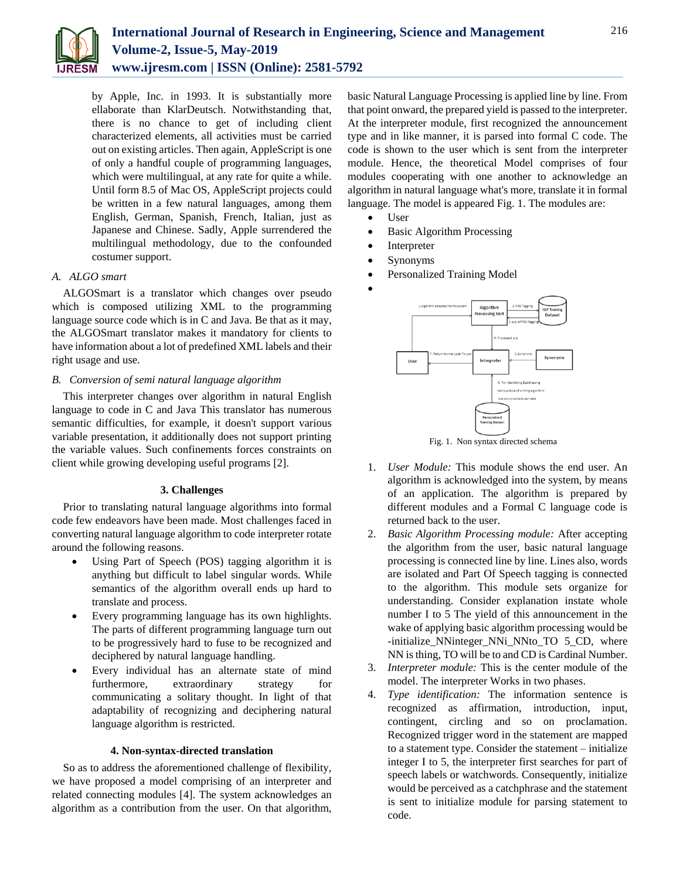

by Apple, Inc. in 1993. It is substantially more ellaborate than KlarDeutsch. Notwithstanding that, there is no chance to get of including client characterized elements, all activities must be carried out on existing articles. Then again, AppleScript is one of only a handful couple of programming languages, which were multilingual, at any rate for quite a while. Until form 8.5 of Mac OS, AppleScript projects could be written in a few natural languages, among them English, German, Spanish, French, Italian, just as Japanese and Chinese. Sadly, Apple surrendered the multilingual methodology, due to the confounded costumer support.

## *A. ALGO smart*

ALGOSmart is a translator which changes over pseudo which is composed utilizing XML to the programming language source code which is in C and Java. Be that as it may, the ALGOSmart translator makes it mandatory for clients to have information about a lot of predefined XML labels and their right usage and use.

## *B. Conversion of semi natural language algorithm*

This interpreter changes over algorithm in natural English language to code in C and Java This translator has numerous semantic difficulties, for example, it doesn't support various variable presentation, it additionally does not support printing the variable values. Such confinements forces constraints on client while growing developing useful programs [2].

## **3. Challenges**

Prior to translating natural language algorithms into formal code few endeavors have been made. Most challenges faced in converting natural language algorithm to code interpreter rotate around the following reasons.

- Using Part of Speech (POS) tagging algorithm it is anything but difficult to label singular words. While semantics of the algorithm overall ends up hard to translate and process.
- Every programming language has its own highlights. The parts of different programming language turn out to be progressively hard to fuse to be recognized and deciphered by natural language handling.
- Every individual has an alternate state of mind furthermore, extraordinary strategy for communicating a solitary thought. In light of that adaptability of recognizing and deciphering natural language algorithm is restricted.

## **4. Non-syntax-directed translation**

So as to address the aforementioned challenge of flexibility, we have proposed a model comprising of an interpreter and related connecting modules [4]. The system acknowledges an algorithm as a contribution from the user. On that algorithm,

basic Natural Language Processing is applied line by line. From that point onward, the prepared yield is passed to the interpreter. At the interpreter module, first recognized the announcement type and in like manner, it is parsed into formal C code. The code is shown to the user which is sent from the interpreter module. Hence, the theoretical Model comprises of four modules cooperating with one another to acknowledge an algorithm in natural language what's more, translate it in formal language. The model is appeared Fig. 1. The modules are:

- User
- Basic Algorithm Processing
- Interpreter
- Synonyms
- Personalized Training Model
- $\bullet$



- 1. *User Module:* This module shows the end user. An algorithm is acknowledged into the system, by means of an application. The algorithm is prepared by different modules and a Formal C language code is returned back to the user.
- 2. *Basic Algorithm Processing module:* After accepting the algorithm from the user, basic natural language processing is connected line by line. Lines also, words are isolated and Part Of Speech tagging is connected to the algorithm. This module sets organize for understanding. Consider explanation instate whole number I to 5 The yield of this announcement in the wake of applying basic algorithm processing would be -initialize\_NNinteger\_NNi\_NNto\_TO 5\_CD, where NN is thing, TO will be to and CD is Cardinal Number.
- 3. *Interpreter module:* This is the center module of the model. The interpreter Works in two phases.
- 4. *Type identification:* The information sentence is recognized as affirmation, introduction, input, contingent, circling and so on proclamation. Recognized trigger word in the statement are mapped to a statement type. Consider the statement – initialize integer I to 5, the interpreter first searches for part of speech labels or watchwords. Consequently, initialize would be perceived as a catchphrase and the statement is sent to initialize module for parsing statement to code.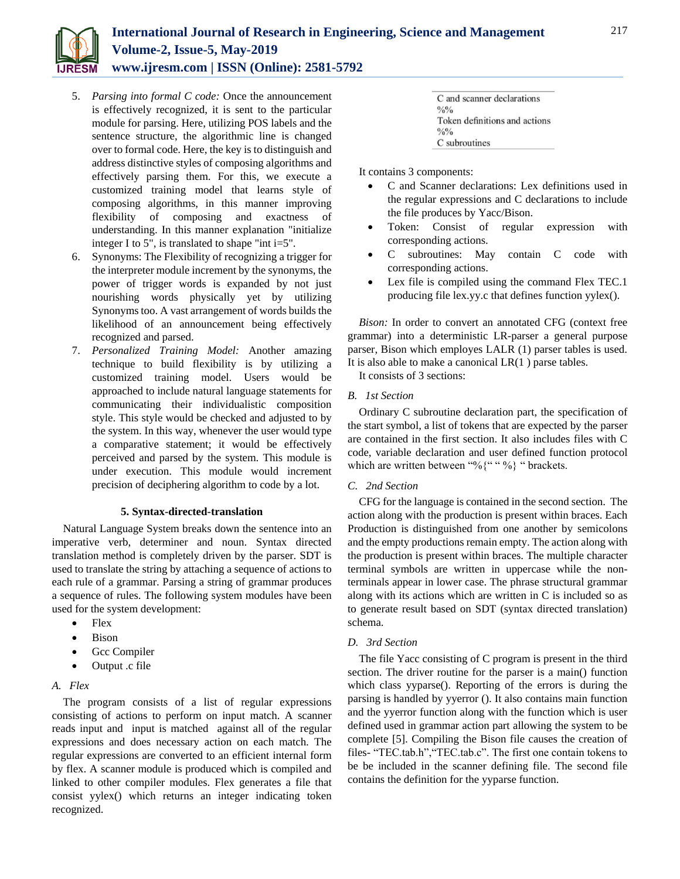

- 5. *Parsing into formal C code:* Once the announcement is effectively recognized, it is sent to the particular module for parsing. Here, utilizing POS labels and the sentence structure, the algorithmic line is changed over to formal code. Here, the key is to distinguish and address distinctive styles of composing algorithms and effectively parsing them. For this, we execute a customized training model that learns style of composing algorithms, in this manner improving flexibility of composing and exactness of understanding. In this manner explanation "initialize integer I to 5", is translated to shape "int i=5".
- 6. Synonyms: The Flexibility of recognizing a trigger for the interpreter module increment by the synonyms, the power of trigger words is expanded by not just nourishing words physically yet by utilizing Synonyms too. A vast arrangement of words builds the likelihood of an announcement being effectively recognized and parsed.
- 7. *Personalized Training Model:* Another amazing technique to build flexibility is by utilizing a customized training model. Users would be approached to include natural language statements for communicating their individualistic composition style. This style would be checked and adjusted to by the system. In this way, whenever the user would type a comparative statement; it would be effectively perceived and parsed by the system. This module is under execution. This module would increment precision of deciphering algorithm to code by a lot.

## **5. Syntax-directed-translation**

Natural Language System breaks down the sentence into an imperative verb, determiner and noun. Syntax directed translation method is completely driven by the parser. SDT is used to translate the string by attaching a sequence of actions to each rule of a grammar. Parsing a string of grammar produces a sequence of rules. The following system modules have been used for the system development:

- Flex
- Bison
- Gcc Compiler
- Output .c file

## *A. Flex*

The program consists of a list of regular expressions consisting of actions to perform on input match. A scanner reads input and input is matched against all of the regular expressions and does necessary action on each match. The regular expressions are converted to an efficient internal form by flex. A scanner module is produced which is compiled and linked to other compiler modules. Flex generates a file that consist yylex() which returns an integer indicating token recognized.

|               | C and scanner declarations    |
|---------------|-------------------------------|
| $\frac{0}{0}$ |                               |
|               | Token definitions and actions |
| $\frac{0}{0}$ |                               |
|               | C subroutines                 |

It contains 3 components:

- C and Scanner declarations: Lex definitions used in the regular expressions and C declarations to include the file produces by Yacc/Bison.
- Token: Consist of regular expression with corresponding actions.
- C subroutines: May contain C code with corresponding actions.
- Lex file is compiled using the command Flex TEC.1 producing file lex.yy.c that defines function yylex().

*Bison:* In order to convert an annotated CFG (context free grammar) into a deterministic LR-parser a general purpose parser, Bison which employes LALR (1) parser tables is used. It is also able to make a canonical  $LR(1)$  parse tables.

It consists of 3 sections:

## *B. 1st Section*

Ordinary C subroutine declaration part, the specification of the start symbol, a list of tokens that are expected by the parser are contained in the first section. It also includes files with C code, variable declaration and user defined function protocol which are written between "%{" " %} " brackets.

## *C. 2nd Section*

CFG for the language is contained in the second section. The action along with the production is present within braces. Each Production is distinguished from one another by semicolons and the empty productions remain empty. The action along with the production is present within braces. The multiple character terminal symbols are written in uppercase while the nonterminals appear in lower case. The phrase structural grammar along with its actions which are written in C is included so as to generate result based on SDT (syntax directed translation) schema.

## *D. 3rd Section*

The file Yacc consisting of C program is present in the third section. The driver routine for the parser is a main() function which class yyparse(). Reporting of the errors is during the parsing is handled by yyerror (). It also contains main function and the yyerror function along with the function which is user defined used in grammar action part allowing the system to be complete [5]. Compiling the Bison file causes the creation of files- "TEC.tab.h","TEC.tab.c". The first one contain tokens to be be included in the scanner defining file. The second file contains the definition for the yyparse function.